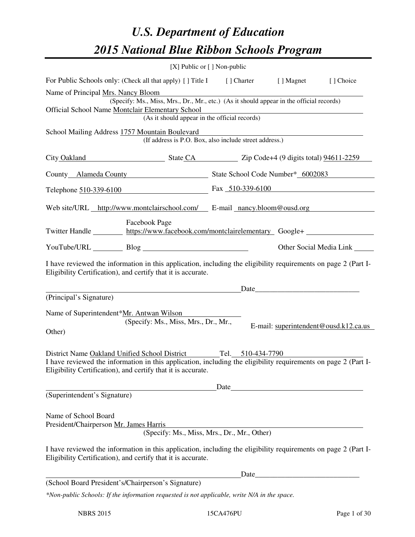# *U.S. Department of Education 2015 National Blue Ribbon Schools Program*

|                                                                                                                                                                                                                                                   | [X] Public or [] Non-public                                                                                                                                    |  |                                       |
|---------------------------------------------------------------------------------------------------------------------------------------------------------------------------------------------------------------------------------------------------|----------------------------------------------------------------------------------------------------------------------------------------------------------------|--|---------------------------------------|
| For Public Schools only: (Check all that apply) [] Title I [] Charter [] Magnet                                                                                                                                                                   |                                                                                                                                                                |  | [] Choice                             |
| Name of Principal <u>Mrs. Nancy Bloom</u><br>Official School Name Montclair Elementary School                                                                                                                                                     | (Specify: Ms., Miss, Mrs., Dr., Mr., etc.) (As it should appear in the official records)<br>Elementary School<br>(As it should appear in the official records) |  |                                       |
| School Mailing Address 1757 Mountain Boulevard                                                                                                                                                                                                    | (If address is P.O. Box, also include street address.)                                                                                                         |  |                                       |
| City Oakland State CA Zip Code+4 (9 digits total) 94611-2259                                                                                                                                                                                      |                                                                                                                                                                |  |                                       |
| County Alameda County State School Code Number* 6002083                                                                                                                                                                                           |                                                                                                                                                                |  |                                       |
| Telephone 510-339-6100 Fax 510-339-6100                                                                                                                                                                                                           |                                                                                                                                                                |  |                                       |
| Web site/URL http://www.montclairschool.com/ E-mail nancy.bloom@ousd.org                                                                                                                                                                          |                                                                                                                                                                |  |                                       |
| Facebook Page<br>Twitter Handle https://www.facebook.com/montclairelementary Google+                                                                                                                                                              |                                                                                                                                                                |  |                                       |
| YouTube/URL Blog Blog                                                                                                                                                                                                                             |                                                                                                                                                                |  | Other Social Media Link               |
| I have reviewed the information in this application, including the eligibility requirements on page 2 (Part I-<br>Eligibility Certification), and certify that it is accurate.                                                                    |                                                                                                                                                                |  |                                       |
| (Principal's Signature)                                                                                                                                                                                                                           | <u>Date</u>                                                                                                                                                    |  |                                       |
| Name of Superintendent*Mr. Antwan Wilson<br>Other)                                                                                                                                                                                                | (Specify: Ms., Miss, Mrs., Dr., Mr.,                                                                                                                           |  | E-mail: superintendent@ousd.k12.ca.us |
| District Name Oakland Unified School District Tel. 510-434-7790<br>I have reviewed the information in this application, including the eligibility requirements on page 2 (Part I-<br>Eligibility Certification), and certify that it is accurate. |                                                                                                                                                                |  |                                       |
| (Superintendent's Signature)                                                                                                                                                                                                                      |                                                                                                                                                                |  |                                       |
| Name of School Board<br>President/Chairperson Mr. James Harris                                                                                                                                                                                    | (Specify: Ms., Miss, Mrs., Dr., Mr., Other)                                                                                                                    |  |                                       |
| I have reviewed the information in this application, including the eligibility requirements on page 2 (Part I-<br>Eligibility Certification), and certify that it is accurate.                                                                    |                                                                                                                                                                |  |                                       |
|                                                                                                                                                                                                                                                   |                                                                                                                                                                |  |                                       |
| (School Board President's/Chairperson's Signature)                                                                                                                                                                                                |                                                                                                                                                                |  |                                       |

*\*Non-public Schools: If the information requested is not applicable, write N/A in the space.*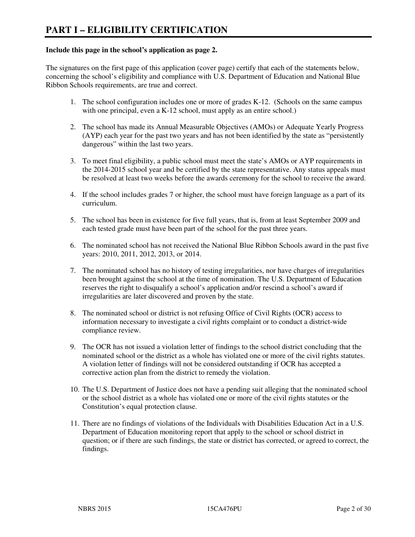#### **Include this page in the school's application as page 2.**

The signatures on the first page of this application (cover page) certify that each of the statements below, concerning the school's eligibility and compliance with U.S. Department of Education and National Blue Ribbon Schools requirements, are true and correct.

- 1. The school configuration includes one or more of grades K-12. (Schools on the same campus with one principal, even a K-12 school, must apply as an entire school.)
- 2. The school has made its Annual Measurable Objectives (AMOs) or Adequate Yearly Progress (AYP) each year for the past two years and has not been identified by the state as "persistently dangerous" within the last two years.
- 3. To meet final eligibility, a public school must meet the state's AMOs or AYP requirements in the 2014-2015 school year and be certified by the state representative. Any status appeals must be resolved at least two weeks before the awards ceremony for the school to receive the award.
- 4. If the school includes grades 7 or higher, the school must have foreign language as a part of its curriculum.
- 5. The school has been in existence for five full years, that is, from at least September 2009 and each tested grade must have been part of the school for the past three years.
- 6. The nominated school has not received the National Blue Ribbon Schools award in the past five years: 2010, 2011, 2012, 2013, or 2014.
- 7. The nominated school has no history of testing irregularities, nor have charges of irregularities been brought against the school at the time of nomination. The U.S. Department of Education reserves the right to disqualify a school's application and/or rescind a school's award if irregularities are later discovered and proven by the state.
- 8. The nominated school or district is not refusing Office of Civil Rights (OCR) access to information necessary to investigate a civil rights complaint or to conduct a district-wide compliance review.
- 9. The OCR has not issued a violation letter of findings to the school district concluding that the nominated school or the district as a whole has violated one or more of the civil rights statutes. A violation letter of findings will not be considered outstanding if OCR has accepted a corrective action plan from the district to remedy the violation.
- 10. The U.S. Department of Justice does not have a pending suit alleging that the nominated school or the school district as a whole has violated one or more of the civil rights statutes or the Constitution's equal protection clause.
- 11. There are no findings of violations of the Individuals with Disabilities Education Act in a U.S. Department of Education monitoring report that apply to the school or school district in question; or if there are such findings, the state or district has corrected, or agreed to correct, the findings.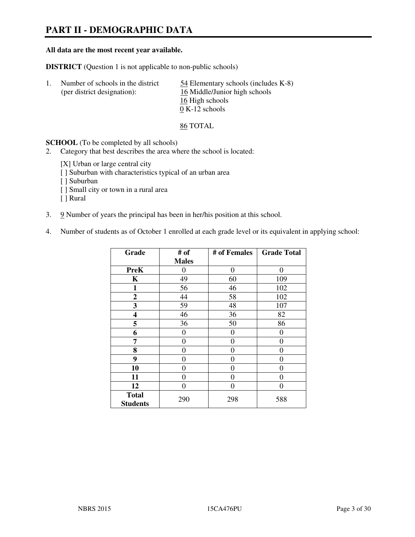# **PART II - DEMOGRAPHIC DATA**

#### **All data are the most recent year available.**

**DISTRICT** (Question 1 is not applicable to non-public schools)

| Number of schools in the district<br>(per district designation): | 54 Elementary schools (includes K-8)<br>16 Middle/Junior high schools |
|------------------------------------------------------------------|-----------------------------------------------------------------------|
|                                                                  | 16 High schools                                                       |
|                                                                  | $0 K-12$ schools                                                      |

86 TOTAL

**SCHOOL** (To be completed by all schools)

- 2. Category that best describes the area where the school is located:
	- [X] Urban or large central city
	- [ ] Suburban with characteristics typical of an urban area
	- [ ] Suburban
	- [ ] Small city or town in a rural area
	- [ ] Rural
- 3. 9 Number of years the principal has been in her/his position at this school.
- 4. Number of students as of October 1 enrolled at each grade level or its equivalent in applying school:

| Grade                           | # of           | # of Females   | <b>Grade Total</b> |
|---------------------------------|----------------|----------------|--------------------|
|                                 | <b>Males</b>   |                |                    |
| <b>PreK</b>                     | 0              | $\theta$       | $\theta$           |
| K                               | 49             | 60             | 109                |
| $\mathbf{1}$                    | 56             | 46             | 102                |
| $\mathbf{2}$                    | 44             | 58             | 102                |
| 3                               | 59             | 48             | 107                |
| 4                               | 46             | 36             | 82                 |
| 5                               | 36             | 50             | 86                 |
| 6                               | 0              | 0              | $\theta$           |
| 7                               | $\overline{0}$ | $\overline{0}$ | 0                  |
| 8                               | $\theta$       | 0              | 0                  |
| 9                               | $\theta$       | $\theta$       | 0                  |
| 10                              | 0              | 0              | 0                  |
| 11                              | 0              | 0              | 0                  |
| 12                              | 0              | 0              | 0                  |
| <b>Total</b><br><b>Students</b> | 290            | 298            | 588                |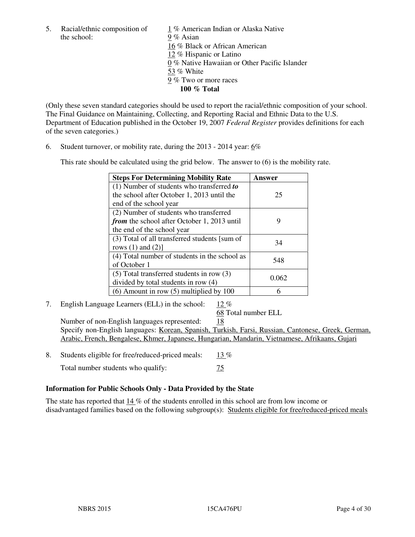the school: 9% Asian

5. Racial/ethnic composition of 1 % American Indian or Alaska Native 16 % Black or African American 12 % Hispanic or Latino 0 % Native Hawaiian or Other Pacific Islander 53 % White 9 % Two or more races **100 % Total** 

(Only these seven standard categories should be used to report the racial/ethnic composition of your school. The Final Guidance on Maintaining, Collecting, and Reporting Racial and Ethnic Data to the U.S. Department of Education published in the October 19, 2007 *Federal Register* provides definitions for each of the seven categories.)

6. Student turnover, or mobility rate, during the 2013 - 2014 year: 6%

This rate should be calculated using the grid below. The answer to (6) is the mobility rate.

| <b>Steps For Determining Mobility Rate</b>         | Answer |
|----------------------------------------------------|--------|
| $(1)$ Number of students who transferred to        |        |
| the school after October 1, 2013 until the         | 25     |
| end of the school year                             |        |
| (2) Number of students who transferred             |        |
| <i>from</i> the school after October 1, 2013 until | 9      |
| the end of the school year                         |        |
| (3) Total of all transferred students [sum of      | 34     |
| rows $(1)$ and $(2)$ ]                             |        |
| (4) Total number of students in the school as      | 548    |
| of October 1                                       |        |
| $(5)$ Total transferred students in row $(3)$      |        |
| divided by total students in row (4)               | 0.062  |
| $(6)$ Amount in row $(5)$ multiplied by 100        |        |

7. English Language Learners (ELL) in the school: 12 %

68 Total number ELL

 Number of non-English languages represented: 18 Specify non-English languages: Korean, Spanish, Turkish, Farsi, Russian, Cantonese, Greek, German, Arabic, French, Bengalese, Khmer, Japanese, Hungarian, Mandarin, Vietnamese, Afrikaans, Gujari

- 8. Students eligible for free/reduced-priced meals:  $13\%$ 
	- Total number students who qualify:  $\frac{75}{25}$

## **Information for Public Schools Only - Data Provided by the State**

The state has reported that  $14\%$  of the students enrolled in this school are from low income or disadvantaged families based on the following subgroup(s): Students eligible for free/reduced-priced meals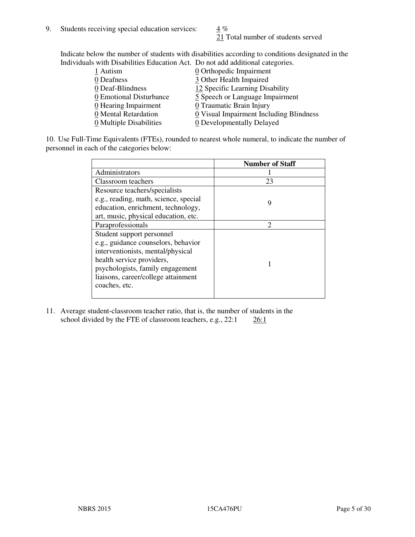21 Total number of students served

Indicate below the number of students with disabilities according to conditions designated in the Individuals with Disabilities Education Act. Do not add additional categories.

| THE LEW CONSTRUCTION OF THE CONSTRUCTION OF THE CONSTRUCTION OF A LOCAL CONSTRUCTION OF A CONSTRUCTION OF THE CONSTRUCTION OF THE CONSTRUCTION OF THE CONSTRUCTION OF THE CONSTRUCTION OF THE CONSTRUCTION OF THE CONSTRUCTIO |                                         |
|-------------------------------------------------------------------------------------------------------------------------------------------------------------------------------------------------------------------------------|-----------------------------------------|
| 1 Autism                                                                                                                                                                                                                      | $\underline{0}$ Orthopedic Impairment   |
| 0 Deafness                                                                                                                                                                                                                    | 3 Other Health Impaired                 |
| 0 Deaf-Blindness                                                                                                                                                                                                              | 12 Specific Learning Disability         |
| 0 Emotional Disturbance                                                                                                                                                                                                       | 5 Speech or Language Impairment         |
| 0 Hearing Impairment                                                                                                                                                                                                          | 0 Traumatic Brain Injury                |
| 0 Mental Retardation                                                                                                                                                                                                          | 0 Visual Impairment Including Blindness |
| 0 Multiple Disabilities                                                                                                                                                                                                       | 0 Developmentally Delayed               |
|                                                                                                                                                                                                                               |                                         |

10. Use Full-Time Equivalents (FTEs), rounded to nearest whole numeral, to indicate the number of personnel in each of the categories below:

|                                       | <b>Number of Staff</b> |
|---------------------------------------|------------------------|
| Administrators                        |                        |
| Classroom teachers                    | 23                     |
| Resource teachers/specialists         |                        |
| e.g., reading, math, science, special | 9                      |
| education, enrichment, technology,    |                        |
| art, music, physical education, etc.  |                        |
| Paraprofessionals                     | $\mathfrak{D}$         |
| Student support personnel             |                        |
| e.g., guidance counselors, behavior   |                        |
| interventionists, mental/physical     |                        |
| health service providers,             |                        |
| psychologists, family engagement      |                        |
| liaisons, career/college attainment   |                        |
| coaches, etc.                         |                        |
|                                       |                        |

11. Average student-classroom teacher ratio, that is, the number of students in the school divided by the FTE of classroom teachers, e.g.,  $22:1$   $26:1$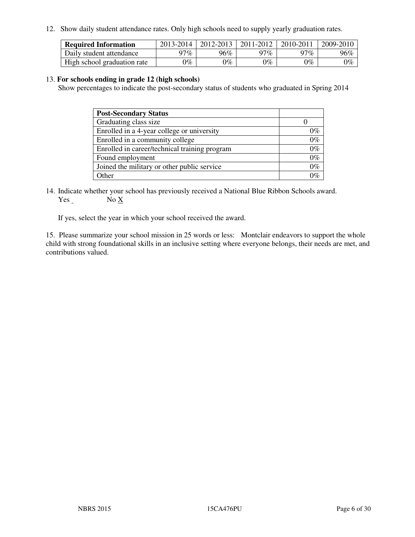12. Show daily student attendance rates. Only high schools need to supply yearly graduation rates.

| <b>Required Information</b> | 2013-2014 | 2012-2013 | 2011-2012 | 2010-2011 | 2009-2010 |
|-----------------------------|-----------|-----------|-----------|-----------|-----------|
| Daily student attendance    | າ $7\%$   | 96%       | 97%       | $77\%$    | 96%       |
| High school graduation rate | 9%        | $0\%$     | $0\%$     | 0%        | $0\%$     |

#### 13. **For schools ending in grade 12 (high schools)**

Show percentages to indicate the post-secondary status of students who graduated in Spring 2014

| <b>Post-Secondary Status</b>                  |       |
|-----------------------------------------------|-------|
| Graduating class size                         |       |
| Enrolled in a 4-year college or university    | 0%    |
| Enrolled in a community college               | $0\%$ |
| Enrolled in career/technical training program | $0\%$ |
| Found employment                              | $0\%$ |
| Joined the military or other public service   | $0\%$ |
| Other                                         | ነር    |

14. Indicate whether your school has previously received a National Blue Ribbon Schools award. Yes No X

If yes, select the year in which your school received the award.

15. Please summarize your school mission in 25 words or less: Montclair endeavors to support the whole child with strong foundational skills in an inclusive setting where everyone belongs, their needs are met, and contributions valued.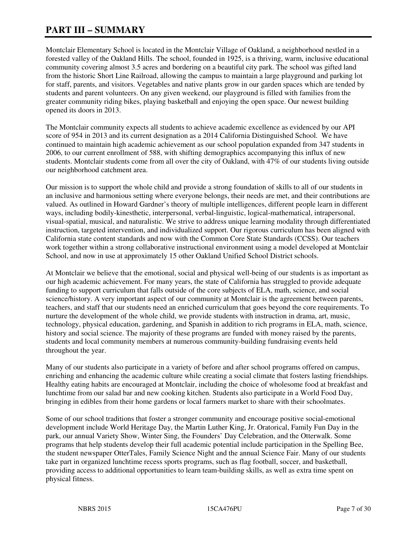# **PART III – SUMMARY**

Montclair Elementary School is located in the Montclair Village of Oakland, a neighborhood nestled in a forested valley of the Oakland Hills. The school, founded in 1925, is a thriving, warm, inclusive educational community covering almost 3.5 acres and bordering on a beautiful city park. The school was gifted land from the historic Short Line Railroad, allowing the campus to maintain a large playground and parking lot for staff, parents, and visitors. Vegetables and native plants grow in our garden spaces which are tended by students and parent volunteers. On any given weekend, our playground is filled with families from the greater community riding bikes, playing basketball and enjoying the open space. Our newest building opened its doors in 2013.

The Montclair community expects all students to achieve academic excellence as evidenced by our API score of 954 in 2013 and its current designation as a 2014 California Distinguished School. We have continued to maintain high academic achievement as our school population expanded from 347 students in 2006, to our current enrollment of 588, with shifting demographics accompanying this influx of new students. Montclair students come from all over the city of Oakland, with 47% of our students living outside our neighborhood catchment area.

Our mission is to support the whole child and provide a strong foundation of skills to all of our students in an inclusive and harmonious setting where everyone belongs, their needs are met, and their contributions are valued. As outlined in Howard Gardner's theory of multiple intelligences, different people learn in different ways, including bodily-kinesthetic, interpersonal, verbal-linguistic, logical-mathematical, intrapersonal, visual-spatial, musical, and naturalistic. We strive to address unique learning modality through differentiated instruction, targeted intervention, and individualized support. Our rigorous curriculum has been aligned with California state content standards and now with the Common Core State Standards (CCSS). Our teachers work together within a strong collaborative instructional environment using a model developed at Montclair School, and now in use at approximately 15 other Oakland Unified School District schools.

At Montclair we believe that the emotional, social and physical well-being of our students is as important as our high academic achievement. For many years, the state of California has struggled to provide adequate funding to support curriculum that falls outside of the core subjects of ELA, math, science, and social science/history. A very important aspect of our community at Montclair is the agreement between parents, teachers, and staff that our students need an enriched curriculum that goes beyond the core requirements. To nurture the development of the whole child, we provide students with instruction in drama, art, music, technology, physical education, gardening, and Spanish in addition to rich programs in ELA, math, science, history and social science. The majority of these programs are funded with money raised by the parents, students and local community members at numerous community-building fundraising events held throughout the year.

Many of our students also participate in a variety of before and after school programs offered on campus, enriching and enhancing the academic culture while creating a social climate that fosters lasting friendships. Healthy eating habits are encouraged at Montclair, including the choice of wholesome food at breakfast and lunchtime from our salad bar and new cooking kitchen. Students also participate in a World Food Day, bringing in edibles from their home gardens or local farmers market to share with their schoolmates.

Some of our school traditions that foster a stronger community and encourage positive social-emotional development include World Heritage Day, the Martin Luther King, Jr. Oratorical, Family Fun Day in the park, our annual Variety Show, Winter Sing, the Founders' Day Celebration, and the Otterwalk. Some programs that help students develop their full academic potential include participation in the Spelling Bee, the student newspaper OtterTales, Family Science Night and the annual Science Fair. Many of our students take part in organized lunchtime recess sports programs, such as flag football, soccer, and basketball, providing access to additional opportunities to learn team-building skills, as well as extra time spent on physical fitness.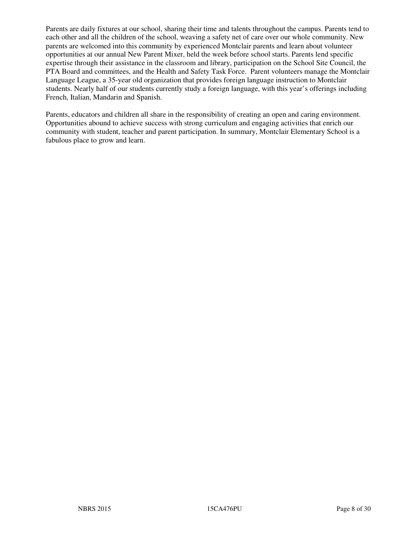Parents are daily fixtures at our school, sharing their time and talents throughout the campus. Parents tend to each other and all the children of the school, weaving a safety net of care over our whole community. New parents are welcomed into this community by experienced Montclair parents and learn about volunteer opportunities at our annual New Parent Mixer, held the week before school starts. Parents lend specific expertise through their assistance in the classroom and library, participation on the School Site Council, the PTA Board and committees, and the Health and Safety Task Force. Parent volunteers manage the Montclair Language League, a 35-year old organization that provides foreign language instruction to Montclair students. Nearly half of our students currently study a foreign language, with this year's offerings including French, Italian, Mandarin and Spanish.

Parents, educators and children all share in the responsibility of creating an open and caring environment. Opportunities abound to achieve success with strong curriculum and engaging activities that enrich our community with student, teacher and parent participation. In summary, Montclair Elementary School is a fabulous place to grow and learn.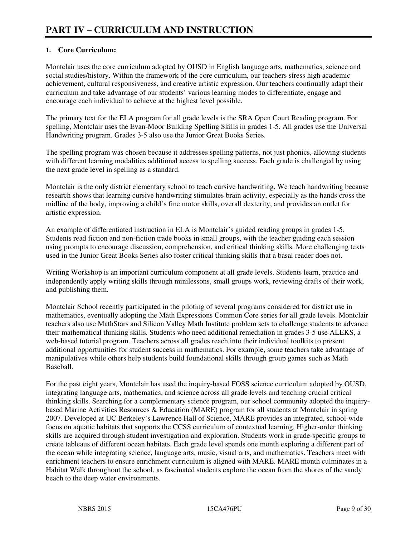## **1. Core Curriculum:**

Montclair uses the core curriculum adopted by OUSD in English language arts, mathematics, science and social studies/history. Within the framework of the core curriculum, our teachers stress high academic achievement, cultural responsiveness, and creative artistic expression. Our teachers continually adapt their curriculum and take advantage of our students' various learning modes to differentiate, engage and encourage each individual to achieve at the highest level possible.

The primary text for the ELA program for all grade levels is the SRA Open Court Reading program. For spelling, Montclair uses the Evan-Moor Building Spelling Skills in grades 1-5. All grades use the Universal Handwriting program. Grades 3-5 also use the Junior Great Books Series.

The spelling program was chosen because it addresses spelling patterns, not just phonics, allowing students with different learning modalities additional access to spelling success. Each grade is challenged by using the next grade level in spelling as a standard.

Montclair is the only district elementary school to teach cursive handwriting. We teach handwriting because research shows that learning cursive handwriting stimulates brain activity, especially as the hands cross the midline of the body, improving a child's fine motor skills, overall dexterity, and provides an outlet for artistic expression.

An example of differentiated instruction in ELA is Montclair's guided reading groups in grades 1-5. Students read fiction and non-fiction trade books in small groups, with the teacher guiding each session using prompts to encourage discussion, comprehension, and critical thinking skills. More challenging texts used in the Junior Great Books Series also foster critical thinking skills that a basal reader does not.

Writing Workshop is an important curriculum component at all grade levels. Students learn, practice and independently apply writing skills through minilessons, small groups work, reviewing drafts of their work, and publishing them.

Montclair School recently participated in the piloting of several programs considered for district use in mathematics, eventually adopting the Math Expressions Common Core series for all grade levels. Montclair teachers also use MathStars and Silicon Valley Math Institute problem sets to challenge students to advance their mathematical thinking skills. Students who need additional remediation in grades 3-5 use ALEKS, a web-based tutorial program. Teachers across all grades reach into their individual toolkits to present additional opportunities for student success in mathematics. For example, some teachers take advantage of manipulatives while others help students build foundational skills through group games such as Math Baseball.

For the past eight years, Montclair has used the inquiry-based FOSS science curriculum adopted by OUSD, integrating language arts, mathematics, and science across all grade levels and teaching crucial critical thinking skills. Searching for a complementary science program, our school community adopted the inquirybased Marine Activities Resources & Education (MARE) program for all students at Montclair in spring 2007. Developed at UC Berkeley's Lawrence Hall of Science, MARE provides an integrated, school-wide focus on aquatic habitats that supports the CCSS curriculum of contextual learning. Higher-order thinking skills are acquired through student investigation and exploration. Students work in grade-specific groups to create tableaus of different ocean habitats. Each grade level spends one month exploring a different part of the ocean while integrating science, language arts, music, visual arts, and mathematics. Teachers meet with enrichment teachers to ensure enrichment curriculum is aligned with MARE. MARE month culminates in a Habitat Walk throughout the school, as fascinated students explore the ocean from the shores of the sandy beach to the deep water environments.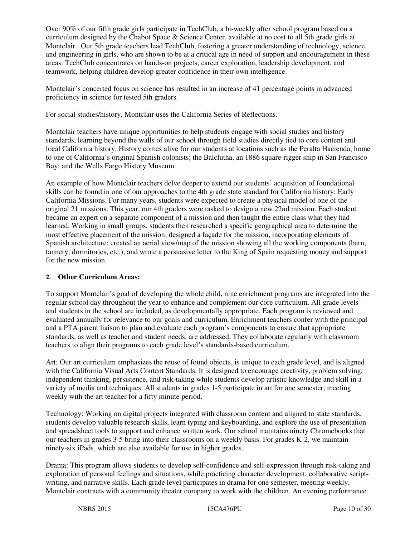Over 90% of our fifth grade girls participate in TechClub, a bi-weekly after school program based on a curriculum designed by the Chabot Space & Science Center, available at no cost to all 5th grade girls at Montclair. Our 5th grade teachers lead TechClub, fostering a greater understanding of technology, science, and engineering in girls, who are shown to be at a critical age in need of support and encouragement in these areas. TechClub concentrates on hands-on projects, career exploration, leadership development, and teamwork, helping children develop greater confidence in their own intelligence.

Montclair's concerted focus on science has resulted in an increase of 41 percentage points in advanced proficiency in science for tested 5th graders.

For social studies/history, Montclair uses the California Series of Reflections.

Montclair teachers have unique opportunities to help students engage with social studies and history standards, learning beyond the walls of our school through field studies directly tied to core content and local California history. History comes alive for our students at locations such as the Peralta Hacienda, home to one of California's original Spanish colonists; the Balclutha, an 1886 square-rigger ship in San Francisco Bay; and the Wells Fargo History Museum.

An example of how Montclair teachers delve deeper to extend our students' acquisition of foundational skills can be found in one of our approaches to the 4th grade state standard for California history: Early California Missions. For many years, students were expected to create a physical model of one of the original 21 missions. This year, our 4th graders were tasked to design a new 22nd mission. Each student became an expert on a separate component of a mission and then taught the entire class what they had learned. Working in small groups, students then researched a specific geographical area to determine the most effective placement of the mission; designed a façade for the mission, incorporating elements of Spanish architecture; created an aerial view/map of the mission showing all the working components (barn, tannery, dormitories, etc.); and wrote a persuasive letter to the King of Spain requesting money and support for the new mission.

## **2. Other Curriculum Areas:**

To support Montclair's goal of developing the whole child, nine enrichment programs are integrated into the regular school day throughout the year to enhance and complement our core curriculum. All grade levels and students in the school are included, as developmentally appropriate. Each program is reviewed and evaluated annually for relevance to our goals and curriculum. Enrichment teachers confer with the principal and a PTA parent liaison to plan and evaluate each program's components to ensure that appropriate standards, as well as teacher and student needs, are addressed. They collaborate regularly with classroom teachers to align their programs to each grade level's standards-based curriculum.

Art: Our art curriculum emphasizes the reuse of found objects, is unique to each grade level, and is aligned with the California Visual Arts Content Standards. It is designed to encourage creativity, problem solving, independent thinking, persistence, and risk-taking while students develop artistic knowledge and skill in a variety of media and techniques. All students in grades 1-5 participate in art for one semester, meeting weekly with the art teacher for a fifty minute period.

Technology: Working on digital projects integrated with classroom content and aligned to state standards, students develop valuable research skills, learn typing and keyboarding, and explore the use of presentation and spreadsheet tools to support and enhance written work. Our school maintains ninety Chromebooks that our teachers in grades 3-5 bring into their classrooms on a weekly basis. For grades K-2, we maintain ninety-six iPads, which are also available for use in higher grades.

Drama: This program allows students to develop self-confidence and self-expression through risk-taking and exploration of personal feelings and situations, while practicing character development, collaborative scriptwriting, and narrative skills. Each grade level participates in drama for one semester, meeting weekly. Montclair contracts with a community theater company to work with the children. An evening performance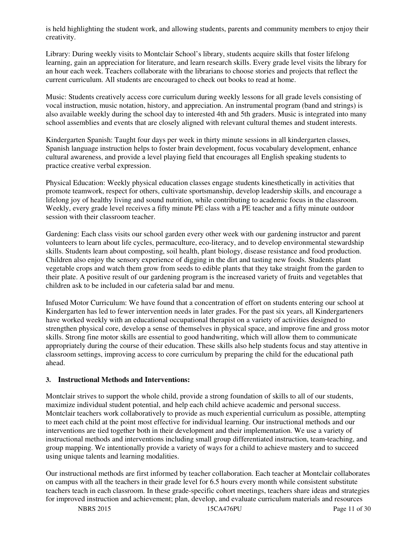is held highlighting the student work, and allowing students, parents and community members to enjoy their creativity.

Library: During weekly visits to Montclair School's library, students acquire skills that foster lifelong learning, gain an appreciation for literature, and learn research skills. Every grade level visits the library for an hour each week. Teachers collaborate with the librarians to choose stories and projects that reflect the current curriculum. All students are encouraged to check out books to read at home.

Music: Students creatively access core curriculum during weekly lessons for all grade levels consisting of vocal instruction, music notation, history, and appreciation. An instrumental program (band and strings) is also available weekly during the school day to interested 4th and 5th graders. Music is integrated into many school assemblies and events that are closely aligned with relevant cultural themes and student interests.

Kindergarten Spanish: Taught four days per week in thirty minute sessions in all kindergarten classes, Spanish language instruction helps to foster brain development, focus vocabulary development, enhance cultural awareness, and provide a level playing field that encourages all English speaking students to practice creative verbal expression.

Physical Education: Weekly physical education classes engage students kinesthetically in activities that promote teamwork, respect for others, cultivate sportsmanship, develop leadership skills, and encourage a lifelong joy of healthy living and sound nutrition, while contributing to academic focus in the classroom. Weekly, every grade level receives a fifty minute PE class with a PE teacher and a fifty minute outdoor session with their classroom teacher.

Gardening: Each class visits our school garden every other week with our gardening instructor and parent volunteers to learn about life cycles, permaculture, eco-literacy, and to develop environmental stewardship skills. Students learn about composting, soil health, plant biology, disease resistance and food production. Children also enjoy the sensory experience of digging in the dirt and tasting new foods. Students plant vegetable crops and watch them grow from seeds to edible plants that they take straight from the garden to their plate. A positive result of our gardening program is the increased variety of fruits and vegetables that children ask to be included in our cafeteria salad bar and menu.

Infused Motor Curriculum: We have found that a concentration of effort on students entering our school at Kindergarten has led to fewer intervention needs in later grades. For the past six years, all Kindergarteners have worked weekly with an educational occupational therapist on a variety of activities designed to strengthen physical core, develop a sense of themselves in physical space, and improve fine and gross motor skills. Strong fine motor skills are essential to good handwriting, which will allow them to communicate appropriately during the course of their education. These skills also help students focus and stay attentive in classroom settings, improving access to core curriculum by preparing the child for the educational path ahead.

#### **3. Instructional Methods and Interventions:**

Montclair strives to support the whole child, provide a strong foundation of skills to all of our students, maximize individual student potential, and help each child achieve academic and personal success. Montclair teachers work collaboratively to provide as much experiential curriculum as possible, attempting to meet each child at the point most effective for individual learning. Our instructional methods and our interventions are tied together both in their development and their implementation. We use a variety of instructional methods and interventions including small group differentiated instruction, team-teaching, and group mapping. We intentionally provide a variety of ways for a child to achieve mastery and to succeed using unique talents and learning modalities.

Our instructional methods are first informed by teacher collaboration. Each teacher at Montclair collaborates on campus with all the teachers in their grade level for 6.5 hours every month while consistent substitute teachers teach in each classroom. In these grade-specific cohort meetings, teachers share ideas and strategies for improved instruction and achievement; plan, develop, and evaluate curriculum materials and resources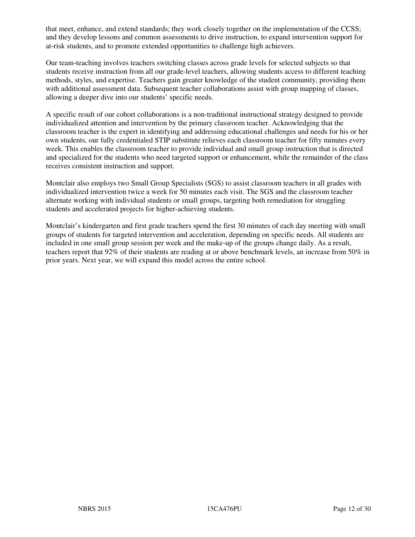that meet, enhance, and extend standards; they work closely together on the implementation of the CCSS; and they develop lessons and common assessments to drive instruction, to expand intervention support for at-risk students, and to promote extended opportunities to challenge high achievers.

Our team-teaching involves teachers switching classes across grade levels for selected subjects so that students receive instruction from all our grade-level teachers, allowing students access to different teaching methods, styles, and expertise. Teachers gain greater knowledge of the student community, providing them with additional assessment data. Subsequent teacher collaborations assist with group mapping of classes, allowing a deeper dive into our students' specific needs.

A specific result of our cohort collaborations is a non-traditional instructional strategy designed to provide individualized attention and intervention by the primary classroom teacher. Acknowledging that the classroom teacher is the expert in identifying and addressing educational challenges and needs for his or her own students, our fully credentialed STIP substitute relieves each classroom teacher for fifty minutes every week. This enables the classroom teacher to provide individual and small group instruction that is directed and specialized for the students who need targeted support or enhancement, while the remainder of the class receives consistent instruction and support.

Montclair also employs two Small Group Specialists (SGS) to assist classroom teachers in all grades with individualized intervention twice a week for 50 minutes each visit. The SGS and the classroom teacher alternate working with individual students or small groups, targeting both remediation for struggling students and accelerated projects for higher-achieving students.

Montclair's kindergarten and first grade teachers spend the first 30 minutes of each day meeting with small groups of students for targeted intervention and acceleration, depending on specific needs. All students are included in one small group session per week and the make-up of the groups change daily. As a result, teachers report that 92% of their students are reading at or above benchmark levels, an increase from 50% in prior years. Next year, we will expand this model across the entire school.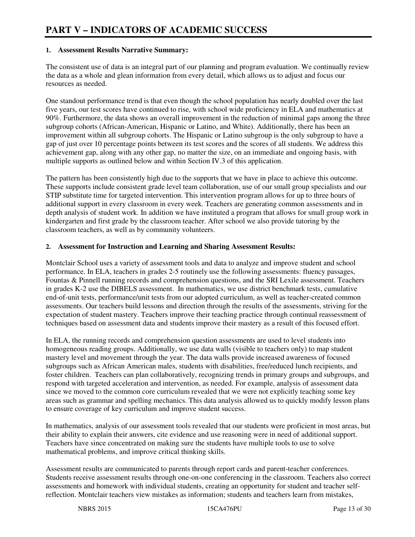#### **1. Assessment Results Narrative Summary:**

The consistent use of data is an integral part of our planning and program evaluation. We continually review the data as a whole and glean information from every detail, which allows us to adjust and focus our resources as needed.

One standout performance trend is that even though the school population has nearly doubled over the last five years, our test scores have continued to rise, with school wide proficiency in ELA and mathematics at 90%. Furthermore, the data shows an overall improvement in the reduction of minimal gaps among the three subgroup cohorts (African-American, Hispanic or Latino, and White). Additionally, there has been an improvement within all subgroup cohorts. The Hispanic or Latino subgroup is the only subgroup to have a gap of just over 10 percentage points between its test scores and the scores of all students. We address this achievement gap, along with any other gap, no matter the size, on an immediate and ongoing basis, with multiple supports as outlined below and within Section IV.3 of this application.

The pattern has been consistently high due to the supports that we have in place to achieve this outcome. These supports include consistent grade level team collaboration, use of our small group specialists and our STIP substitute time for targeted intervention. This intervention program allows for up to three hours of additional support in every classroom in every week. Teachers are generating common assessments and in depth analysis of student work. In addition we have instituted a program that allows for small group work in kindergarten and first grade by the classroom teacher. After school we also provide tutoring by the classroom teachers, as well as by community volunteers.

#### **2. Assessment for Instruction and Learning and Sharing Assessment Results:**

Montclair School uses a variety of assessment tools and data to analyze and improve student and school performance. In ELA, teachers in grades 2-5 routinely use the following assessments: fluency passages, Fountas & Pinnell running records and comprehension questions, and the SRI Lexile assessment. Teachers in grades K-2 use the DIBELS assessment. In mathematics, we use district benchmark tests, cumulative end-of-unit tests, performance/unit tests from our adopted curriculum, as well as teacher-created common assessments. Our teachers build lessons and direction through the results of the assessments, striving for the expectation of student mastery. Teachers improve their teaching practice through continual reassessment of techniques based on assessment data and students improve their mastery as a result of this focused effort.

In ELA, the running records and comprehension question assessments are used to level students into homogeneous reading groups. Additionally, we use data walls (visible to teachers only) to map student mastery level and movement through the year. The data walls provide increased awareness of focused subgroups such as African American males, students with disabilities, free/reduced lunch recipients, and foster children. Teachers can plan collaboratively, recognizing trends in primary groups and subgroups, and respond with targeted acceleration and intervention, as needed. For example, analysis of assessment data since we moved to the common core curriculum revealed that we were not explicitly teaching some key areas such as grammar and spelling mechanics. This data analysis allowed us to quickly modify lesson plans to ensure coverage of key curriculum and improve student success.

In mathematics, analysis of our assessment tools revealed that our students were proficient in most areas, but their ability to explain their answers, cite evidence and use reasoning were in need of additional support. Teachers have since concentrated on making sure the students have multiple tools to use to solve mathematical problems, and improve critical thinking skills.

Assessment results are communicated to parents through report cards and parent-teacher conferences. Students receive assessment results through one-on-one conferencing in the classroom. Teachers also correct assessments and homework with individual students, creating an opportunity for student and teacher selfreflection. Montclair teachers view mistakes as information; students and teachers learn from mistakes,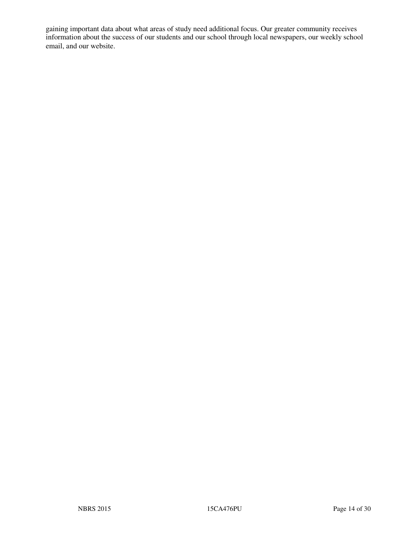gaining important data about what areas of study need additional focus. Our greater community receives information about the success of our students and our school through local newspapers, our weekly school email, and our website.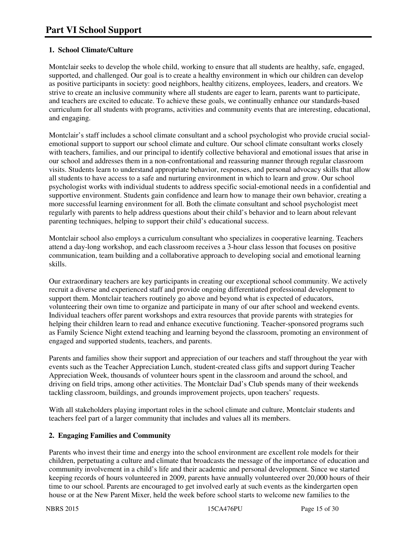## **1. School Climate/Culture**

Montclair seeks to develop the whole child, working to ensure that all students are healthy, safe, engaged, supported, and challenged. Our goal is to create a healthy environment in which our children can develop as positive participants in society: good neighbors, healthy citizens, employees, leaders, and creators. We strive to create an inclusive community where all students are eager to learn, parents want to participate, and teachers are excited to educate. To achieve these goals, we continually enhance our standards-based curriculum for all students with programs, activities and community events that are interesting, educational, and engaging.

Montclair's staff includes a school climate consultant and a school psychologist who provide crucial socialemotional support to support our school climate and culture. Our school climate consultant works closely with teachers, families, and our principal to identify collective behavioral and emotional issues that arise in our school and addresses them in a non-confrontational and reassuring manner through regular classroom visits. Students learn to understand appropriate behavior, responses, and personal advocacy skills that allow all students to have access to a safe and nurturing environment in which to learn and grow. Our school psychologist works with individual students to address specific social-emotional needs in a confidential and supportive environment. Students gain confidence and learn how to manage their own behavior, creating a more successful learning environment for all. Both the climate consultant and school psychologist meet regularly with parents to help address questions about their child's behavior and to learn about relevant parenting techniques, helping to support their child's educational success.

Montclair school also employs a curriculum consultant who specializes in cooperative learning. Teachers attend a day-long workshop, and each classroom receives a 3-hour class lesson that focuses on positive communication, team building and a collaborative approach to developing social and emotional learning skills.

Our extraordinary teachers are key participants in creating our exceptional school community. We actively recruit a diverse and experienced staff and provide ongoing differentiated professional development to support them. Montclair teachers routinely go above and beyond what is expected of educators, volunteering their own time to organize and participate in many of our after school and weekend events. Individual teachers offer parent workshops and extra resources that provide parents with strategies for helping their children learn to read and enhance executive functioning. Teacher-sponsored programs such as Family Science Night extend teaching and learning beyond the classroom, promoting an environment of engaged and supported students, teachers, and parents.

Parents and families show their support and appreciation of our teachers and staff throughout the year with events such as the Teacher Appreciation Lunch, student-created class gifts and support during Teacher Appreciation Week, thousands of volunteer hours spent in the classroom and around the school, and driving on field trips, among other activities. The Montclair Dad's Club spends many of their weekends tackling classroom, buildings, and grounds improvement projects, upon teachers' requests.

With all stakeholders playing important roles in the school climate and culture, Montclair students and teachers feel part of a larger community that includes and values all its members.

## **2. Engaging Families and Community**

Parents who invest their time and energy into the school environment are excellent role models for their children, perpetuating a culture and climate that broadcasts the message of the importance of education and community involvement in a child's life and their academic and personal development. Since we started keeping records of hours volunteered in 2009, parents have annually volunteered over 20,000 hours of their time to our school. Parents are encouraged to get involved early at such events as the kindergarten open house or at the New Parent Mixer, held the week before school starts to welcome new families to the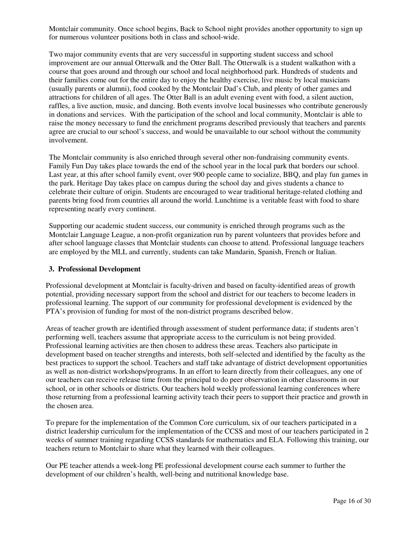Montclair community. Once school begins, Back to School night provides another opportunity to sign up for numerous volunteer positions both in class and school-wide.

Two major community events that are very successful in supporting student success and school improvement are our annual Otterwalk and the Otter Ball. The Otterwalk is a student walkathon with a course that goes around and through our school and local neighborhood park. Hundreds of students and their families come out for the entire day to enjoy the healthy exercise, live music by local musicians (usually parents or alumni), food cooked by the Montclair Dad's Club, and plenty of other games and attractions for children of all ages. The Otter Ball is an adult evening event with food, a silent auction, raffles, a live auction, music, and dancing. Both events involve local businesses who contribute generously in donations and services. With the participation of the school and local community, Montclair is able to raise the money necessary to fund the enrichment programs described previously that teachers and parents agree are crucial to our school's success, and would be unavailable to our school without the community involvement.

The Montclair community is also enriched through several other non-fundraising community events. Family Fun Day takes place towards the end of the school year in the local park that borders our school. Last year, at this after school family event, over 900 people came to socialize, BBQ, and play fun games in the park. Heritage Day takes place on campus during the school day and gives students a chance to celebrate their culture of origin. Students are encouraged to wear traditional heritage-related clothing and parents bring food from countries all around the world. Lunchtime is a veritable feast with food to share representing nearly every continent.

Supporting our academic student success, our community is enriched through programs such as the Montclair Language League, a non-profit organization run by parent volunteers that provides before and after school language classes that Montclair students can choose to attend. Professional language teachers are employed by the MLL and currently, students can take Mandarin, Spanish, French or Italian.

#### **3. Professional Development**

Professional development at Montclair is faculty-driven and based on faculty-identified areas of growth potential, providing necessary support from the school and district for our teachers to become leaders in professional learning. The support of our community for professional development is evidenced by the PTA's provision of funding for most of the non-district programs described below.

Areas of teacher growth are identified through assessment of student performance data; if students aren't performing well, teachers assume that appropriate access to the curriculum is not being provided. Professional learning activities are then chosen to address these areas. Teachers also participate in development based on teacher strengths and interests, both self-selected and identified by the faculty as the best practices to support the school. Teachers and staff take advantage of district development opportunities as well as non-district workshops/programs. In an effort to learn directly from their colleagues, any one of our teachers can receive release time from the principal to do peer observation in other classrooms in our school, or in other schools or districts. Our teachers hold weekly professional learning conferences where those returning from a professional learning activity teach their peers to support their practice and growth in the chosen area.

To prepare for the implementation of the Common Core curriculum, six of our teachers participated in a district leadership curriculum for the implementation of the CCSS and most of our teachers participated in 2 weeks of summer training regarding CCSS standards for mathematics and ELA. Following this training, our teachers return to Montclair to share what they learned with their colleagues.

Our PE teacher attends a week-long PE professional development course each summer to further the development of our children's health, well-being and nutritional knowledge base.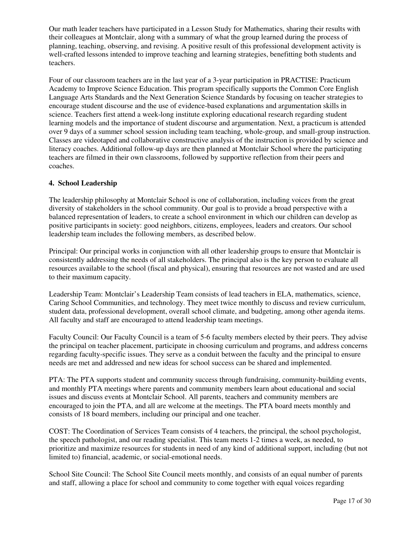Our math leader teachers have participated in a Lesson Study for Mathematics, sharing their results with their colleagues at Montclair, along with a summary of what the group learned during the process of planning, teaching, observing, and revising. A positive result of this professional development activity is well-crafted lessons intended to improve teaching and learning strategies, benefitting both students and teachers.

Four of our classroom teachers are in the last year of a 3-year participation in PRACTISE: Practicum Academy to Improve Science Education. This program specifically supports the Common Core English Language Arts Standards and the Next Generation Science Standards by focusing on teacher strategies to encourage student discourse and the use of evidence-based explanations and argumentation skills in science. Teachers first attend a week-long institute exploring educational research regarding student learning models and the importance of student discourse and argumentation. Next, a practicum is attended over 9 days of a summer school session including team teaching, whole-group, and small-group instruction. Classes are videotaped and collaborative constructive analysis of the instruction is provided by science and literacy coaches. Additional follow-up days are then planned at Montclair School where the participating teachers are filmed in their own classrooms, followed by supportive reflection from their peers and coaches.

#### **4. School Leadership**

The leadership philosophy at Montclair School is one of collaboration, including voices from the great diversity of stakeholders in the school community. Our goal is to provide a broad perspective with a balanced representation of leaders, to create a school environment in which our children can develop as positive participants in society: good neighbors, citizens, employees, leaders and creators. Our school leadership team includes the following members, as described below.

Principal: Our principal works in conjunction with all other leadership groups to ensure that Montclair is consistently addressing the needs of all stakeholders. The principal also is the key person to evaluate all resources available to the school (fiscal and physical), ensuring that resources are not wasted and are used to their maximum capacity.

Leadership Team: Montclair's Leadership Team consists of lead teachers in ELA, mathematics, science, Caring School Communities, and technology. They meet twice monthly to discuss and review curriculum, student data, professional development, overall school climate, and budgeting, among other agenda items. All faculty and staff are encouraged to attend leadership team meetings.

Faculty Council: Our Faculty Council is a team of 5-6 faculty members elected by their peers. They advise the principal on teacher placement, participate in choosing curriculum and programs, and address concerns regarding faculty-specific issues. They serve as a conduit between the faculty and the principal to ensure needs are met and addressed and new ideas for school success can be shared and implemented.

PTA: The PTA supports student and community success through fundraising, community-building events, and monthly PTA meetings where parents and community members learn about educational and social issues and discuss events at Montclair School. All parents, teachers and community members are encouraged to join the PTA, and all are welcome at the meetings. The PTA board meets monthly and consists of 18 board members, including our principal and one teacher.

COST: The Coordination of Services Team consists of 4 teachers, the principal, the school psychologist, the speech pathologist, and our reading specialist. This team meets 1-2 times a week, as needed, to prioritize and maximize resources for students in need of any kind of additional support, including (but not limited to) financial, academic, or social-emotional needs.

School Site Council: The School Site Council meets monthly, and consists of an equal number of parents and staff, allowing a place for school and community to come together with equal voices regarding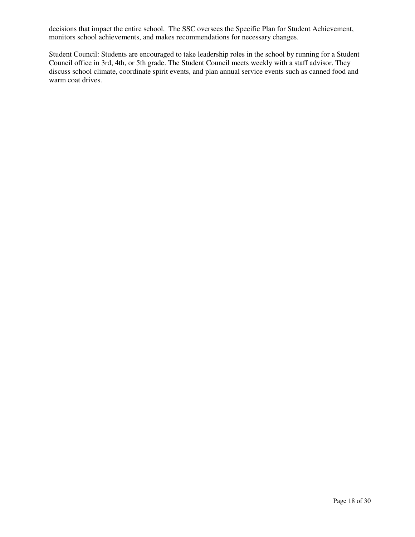decisions that impact the entire school. The SSC oversees the Specific Plan for Student Achievement, monitors school achievements, and makes recommendations for necessary changes.

Student Council: Students are encouraged to take leadership roles in the school by running for a Student Council office in 3rd, 4th, or 5th grade. The Student Council meets weekly with a staff advisor. They discuss school climate, coordinate spirit events, and plan annual service events such as canned food and warm coat drives.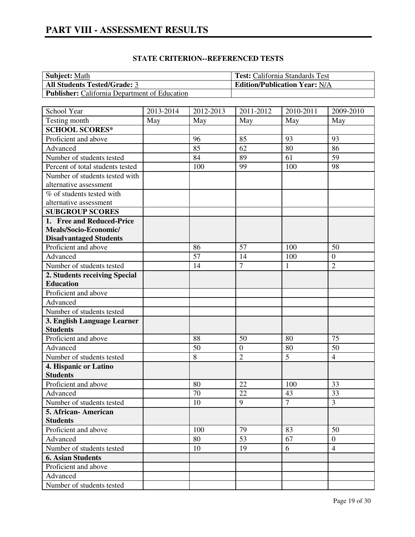| <b>Subject:</b> Math                                 | <b>Test:</b> California Standards Test |
|------------------------------------------------------|----------------------------------------|
| <b>All Students Tested/Grade: 3</b>                  | <b>Edition/Publication Year: N/A</b>   |
| <b>Publisher:</b> California Department of Education |                                        |

| School Year                      | 2013-2014 | 2012-2013 | 2011-2012        | 2010-2011    | 2009-2010        |
|----------------------------------|-----------|-----------|------------------|--------------|------------------|
| Testing month                    | May       | May       | May              | May          | May              |
| <b>SCHOOL SCORES*</b>            |           |           |                  |              |                  |
| Proficient and above             |           | 96        | 85               | 93           | 93               |
| Advanced                         |           | 85        | 62               | 80           | 86               |
| Number of students tested        |           | 84        | 89               | 61           | 59               |
| Percent of total students tested |           | 100       | 99               | 100          | 98               |
| Number of students tested with   |           |           |                  |              |                  |
| alternative assessment           |           |           |                  |              |                  |
| % of students tested with        |           |           |                  |              |                  |
| alternative assessment           |           |           |                  |              |                  |
| <b>SUBGROUP SCORES</b>           |           |           |                  |              |                  |
| 1. Free and Reduced-Price        |           |           |                  |              |                  |
| Meals/Socio-Economic/            |           |           |                  |              |                  |
| <b>Disadvantaged Students</b>    |           |           |                  |              |                  |
| Proficient and above             |           | 86        | 57               | 100          | 50               |
| Advanced                         |           | 57        | 14               | 100          | $\boldsymbol{0}$ |
| Number of students tested        |           | 14        | $\overline{7}$   | $\mathbf{1}$ | $\overline{2}$   |
| 2. Students receiving Special    |           |           |                  |              |                  |
| <b>Education</b>                 |           |           |                  |              |                  |
| Proficient and above             |           |           |                  |              |                  |
| Advanced                         |           |           |                  |              |                  |
| Number of students tested        |           |           |                  |              |                  |
| 3. English Language Learner      |           |           |                  |              |                  |
| <b>Students</b>                  |           |           |                  |              |                  |
| Proficient and above             |           | 88        | 50               | 80           | 75               |
| Advanced                         |           | 50        | $\boldsymbol{0}$ | 80           | 50               |
| Number of students tested        |           | 8         | $\overline{2}$   | 5            | $\overline{4}$   |
| 4. Hispanic or Latino            |           |           |                  |              |                  |
| <b>Students</b>                  |           |           |                  |              |                  |
| Proficient and above             |           | 80        | 22               | 100          | 33               |
| Advanced                         |           | 70        | 22               | 43           | 33               |
| Number of students tested        |           | 10        | 9                | $\tau$       | 3                |
| 5. African-American              |           |           |                  |              |                  |
| <b>Students</b>                  |           |           |                  |              |                  |
| Proficient and above             |           | 100       | 79               | 83           | 50               |
| Advanced                         |           | 80        | 53               | 67           | $\overline{0}$   |
| Number of students tested        |           | 10        | 19               | 6            | $\overline{4}$   |
| <b>6. Asian Students</b>         |           |           |                  |              |                  |
| Proficient and above             |           |           |                  |              |                  |
| Advanced                         |           |           |                  |              |                  |
| Number of students tested        |           |           |                  |              |                  |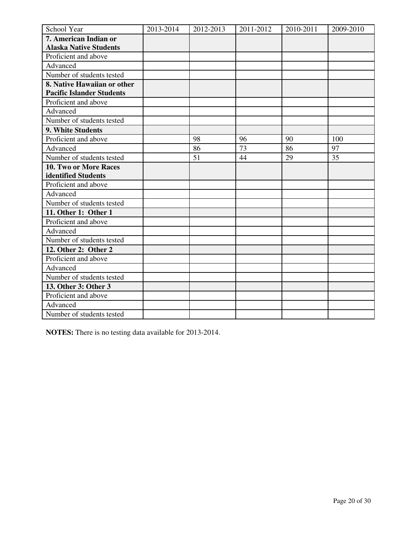| School Year                      | 2013-2014 | 2012-2013 | 2011-2012 | 2010-2011 | 2009-2010 |
|----------------------------------|-----------|-----------|-----------|-----------|-----------|
| 7. American Indian or            |           |           |           |           |           |
| <b>Alaska Native Students</b>    |           |           |           |           |           |
| Proficient and above             |           |           |           |           |           |
| Advanced                         |           |           |           |           |           |
| Number of students tested        |           |           |           |           |           |
| 8. Native Hawaiian or other      |           |           |           |           |           |
| <b>Pacific Islander Students</b> |           |           |           |           |           |
| Proficient and above             |           |           |           |           |           |
| Advanced                         |           |           |           |           |           |
| Number of students tested        |           |           |           |           |           |
| 9. White Students                |           |           |           |           |           |
| Proficient and above             |           | 98        | 96        | 90        | 100       |
| Advanced                         |           | 86        | 73        | 86        | 97        |
| Number of students tested        |           | 51        | 44        | 29        | 35        |
| 10. Two or More Races            |           |           |           |           |           |
| identified Students              |           |           |           |           |           |
| Proficient and above             |           |           |           |           |           |
| Advanced                         |           |           |           |           |           |
| Number of students tested        |           |           |           |           |           |
| 11. Other 1: Other 1             |           |           |           |           |           |
| Proficient and above             |           |           |           |           |           |
| Advanced                         |           |           |           |           |           |
| Number of students tested        |           |           |           |           |           |
| 12. Other 2: Other 2             |           |           |           |           |           |
| Proficient and above             |           |           |           |           |           |
| Advanced                         |           |           |           |           |           |
| Number of students tested        |           |           |           |           |           |
| 13. Other 3: Other 3             |           |           |           |           |           |
| Proficient and above             |           |           |           |           |           |
| Advanced                         |           |           |           |           |           |
| Number of students tested        |           |           |           |           |           |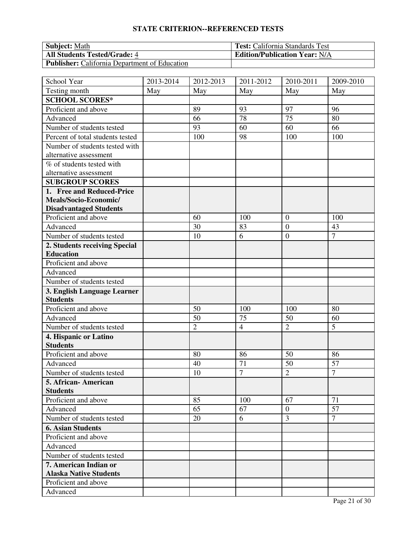| <b>Subject:</b> Math                                 | <b>Test:</b> California Standards Test |
|------------------------------------------------------|----------------------------------------|
| <b>All Students Tested/Grade: 4</b>                  | <b>Edition/Publication Year: N/A</b>   |
| <b>Publisher:</b> California Department of Education |                                        |

| School Year                      | 2013-2014 | 2012-2013      | 2011-2012      | 2010-2011      | 2009-2010      |
|----------------------------------|-----------|----------------|----------------|----------------|----------------|
| Testing month                    | May       | May            | May            | May            | May            |
| <b>SCHOOL SCORES*</b>            |           |                |                |                |                |
| Proficient and above             |           | 89             | 93             | 97             | 96             |
| Advanced                         |           | 66             | 78             | 75             | 80             |
| Number of students tested        |           | 93             | 60             | 60             | 66             |
| Percent of total students tested |           | 100            | 98             | 100            | 100            |
| Number of students tested with   |           |                |                |                |                |
| alternative assessment           |           |                |                |                |                |
| % of students tested with        |           |                |                |                |                |
| alternative assessment           |           |                |                |                |                |
| <b>SUBGROUP SCORES</b>           |           |                |                |                |                |
| 1. Free and Reduced-Price        |           |                |                |                |                |
| Meals/Socio-Economic/            |           |                |                |                |                |
| <b>Disadvantaged Students</b>    |           |                |                |                |                |
| Proficient and above             |           | 60             | 100            | $\overline{0}$ | 100            |
| Advanced                         |           | 30             | 83             | $\overline{0}$ | 43             |
| Number of students tested        |           | 10             | 6              | $\overline{0}$ | $\overline{7}$ |
| 2. Students receiving Special    |           |                |                |                |                |
| <b>Education</b>                 |           |                |                |                |                |
| Proficient and above             |           |                |                |                |                |
| Advanced                         |           |                |                |                |                |
| Number of students tested        |           |                |                |                |                |
| 3. English Language Learner      |           |                |                |                |                |
| <b>Students</b>                  |           |                |                |                |                |
| Proficient and above             |           | 50             | 100            | 100            | 80             |
| Advanced                         |           | 50             | 75             | 50             | 60             |
| Number of students tested        |           | $\overline{2}$ | $\overline{4}$ | $\overline{2}$ | 5              |
| 4. Hispanic or Latino            |           |                |                |                |                |
| <b>Students</b>                  |           |                |                |                |                |
| Proficient and above             |           | 80             | 86             | 50             | 86             |
| Advanced                         |           | 40             | 71             | 50             | 57             |
| Number of students tested        |           | 10             | $\overline{7}$ | $\overline{2}$ | $\overline{7}$ |
| 5. African-American              |           |                |                |                |                |
| <b>Students</b>                  |           |                |                |                |                |
| Proficient and above             |           | 85             | 100            | 67             | 71             |
| Advanced                         |           | 65             | 67             | $\overline{0}$ | 57             |
| Number of students tested        |           | 20             | 6              | $\overline{3}$ | $\overline{7}$ |
| <b>6. Asian Students</b>         |           |                |                |                |                |
| Proficient and above             |           |                |                |                |                |
| Advanced                         |           |                |                |                |                |
| Number of students tested        |           |                |                |                |                |
| 7. American Indian or            |           |                |                |                |                |
| <b>Alaska Native Students</b>    |           |                |                |                |                |
| Proficient and above             |           |                |                |                |                |
| Advanced                         |           |                |                |                |                |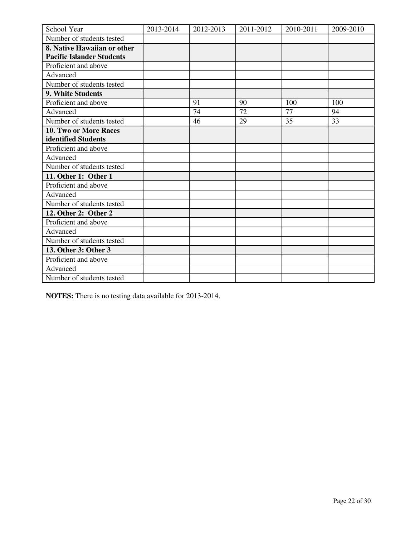| School Year                      | 2013-2014 | 2012-2013 | 2011-2012 | 2010-2011 | 2009-2010 |
|----------------------------------|-----------|-----------|-----------|-----------|-----------|
| Number of students tested        |           |           |           |           |           |
| 8. Native Hawaiian or other      |           |           |           |           |           |
| <b>Pacific Islander Students</b> |           |           |           |           |           |
| Proficient and above             |           |           |           |           |           |
| Advanced                         |           |           |           |           |           |
| Number of students tested        |           |           |           |           |           |
| 9. White Students                |           |           |           |           |           |
| Proficient and above             |           | 91        | 90        | 100       | 100       |
| Advanced                         |           | 74        | 72        | 77        | 94        |
| Number of students tested        |           | 46        | 29        | 35        | 33        |
| <b>10. Two or More Races</b>     |           |           |           |           |           |
| identified Students              |           |           |           |           |           |
| Proficient and above             |           |           |           |           |           |
| Advanced                         |           |           |           |           |           |
| Number of students tested        |           |           |           |           |           |
| 11. Other 1: Other 1             |           |           |           |           |           |
| Proficient and above             |           |           |           |           |           |
| Advanced                         |           |           |           |           |           |
| Number of students tested        |           |           |           |           |           |
| 12. Other 2: Other 2             |           |           |           |           |           |
| Proficient and above             |           |           |           |           |           |
| Advanced                         |           |           |           |           |           |
| Number of students tested        |           |           |           |           |           |
| 13. Other 3: Other 3             |           |           |           |           |           |
| Proficient and above             |           |           |           |           |           |
| Advanced                         |           |           |           |           |           |
| Number of students tested        |           |           |           |           |           |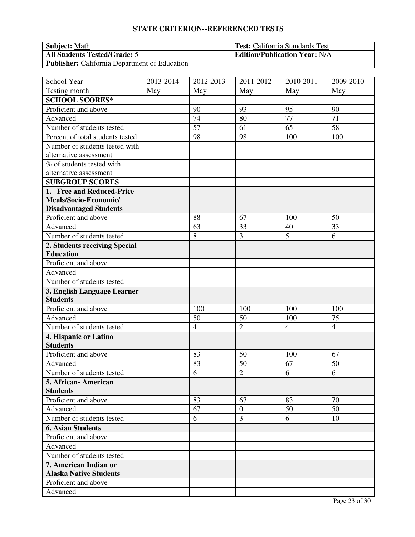| <b>Subject:</b> Math                                 | <b>Test:</b> California Standards Test |
|------------------------------------------------------|----------------------------------------|
| <b>All Students Tested/Grade: 5</b>                  | <b>Edition/Publication Year: N/A</b>   |
| <b>Publisher:</b> California Department of Education |                                        |

| School Year                      | 2013-2014 | 2012-2013       | 2011-2012        | 2010-2011      | 2009-2010       |
|----------------------------------|-----------|-----------------|------------------|----------------|-----------------|
| Testing month                    | May       | May             | May              | May            | May             |
| <b>SCHOOL SCORES*</b>            |           |                 |                  |                |                 |
| Proficient and above             |           | 90              | 93               | 95             | 90              |
| Advanced                         |           | 74              | 80               | 77             | 71              |
| Number of students tested        |           | $\overline{57}$ | 61               | 65             | $\overline{58}$ |
| Percent of total students tested |           | 98              | 98               | 100            | 100             |
| Number of students tested with   |           |                 |                  |                |                 |
| alternative assessment           |           |                 |                  |                |                 |
| % of students tested with        |           |                 |                  |                |                 |
| alternative assessment           |           |                 |                  |                |                 |
| <b>SUBGROUP SCORES</b>           |           |                 |                  |                |                 |
| 1. Free and Reduced-Price        |           |                 |                  |                |                 |
| Meals/Socio-Economic/            |           |                 |                  |                |                 |
| <b>Disadvantaged Students</b>    |           |                 |                  |                |                 |
| Proficient and above             |           | 88              | 67               | 100            | 50              |
| Advanced                         |           | 63              | 33               | 40             | 33              |
| Number of students tested        |           | 8               | $\overline{3}$   | 5              | 6               |
| 2. Students receiving Special    |           |                 |                  |                |                 |
| <b>Education</b>                 |           |                 |                  |                |                 |
| Proficient and above             |           |                 |                  |                |                 |
| Advanced                         |           |                 |                  |                |                 |
| Number of students tested        |           |                 |                  |                |                 |
| 3. English Language Learner      |           |                 |                  |                |                 |
| <b>Students</b>                  |           |                 |                  |                |                 |
| Proficient and above             |           | 100             | 100              | 100            | 100             |
| Advanced                         |           | 50              | 50               | 100            | 75              |
| Number of students tested        |           | $\overline{4}$  | $\overline{2}$   | $\overline{4}$ | $\overline{4}$  |
| 4. Hispanic or Latino            |           |                 |                  |                |                 |
| <b>Students</b>                  |           |                 |                  |                |                 |
| Proficient and above             |           | 83              | 50               | 100            | 67              |
| Advanced                         |           | 83              | 50               | 67             | 50              |
| Number of students tested        |           | 6               | $\overline{2}$   | 6              | 6               |
| 5. African-American              |           |                 |                  |                |                 |
| <b>Students</b>                  |           |                 |                  |                |                 |
| Proficient and above             |           | 83              | 67               | 83             | 70              |
| Advanced                         |           | 67              | $\boldsymbol{0}$ | 50             | 50              |
| Number of students tested        |           | 6               | 3                | 6              | 10              |
| <b>6. Asian Students</b>         |           |                 |                  |                |                 |
| Proficient and above             |           |                 |                  |                |                 |
| Advanced                         |           |                 |                  |                |                 |
| Number of students tested        |           |                 |                  |                |                 |
| 7. American Indian or            |           |                 |                  |                |                 |
| <b>Alaska Native Students</b>    |           |                 |                  |                |                 |
| Proficient and above             |           |                 |                  |                |                 |
| Advanced                         |           |                 |                  |                |                 |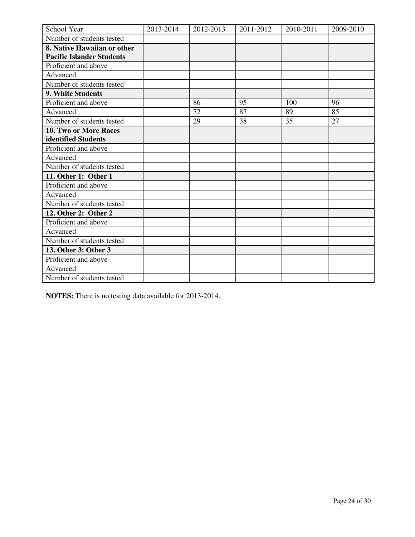| School Year                      | 2013-2014 | 2012-2013 | 2011-2012 | 2010-2011 | 2009-2010 |
|----------------------------------|-----------|-----------|-----------|-----------|-----------|
| Number of students tested        |           |           |           |           |           |
| 8. Native Hawaiian or other      |           |           |           |           |           |
| <b>Pacific Islander Students</b> |           |           |           |           |           |
| Proficient and above             |           |           |           |           |           |
| Advanced                         |           |           |           |           |           |
| Number of students tested        |           |           |           |           |           |
| 9. White Students                |           |           |           |           |           |
| Proficient and above             |           | 86        | 95        | 100       | 96        |
| Advanced                         |           | 72        | 87        | 89        | 85        |
| Number of students tested        |           | 29        | 38        | 35        | 27        |
| 10. Two or More Races            |           |           |           |           |           |
| identified Students              |           |           |           |           |           |
| Proficient and above             |           |           |           |           |           |
| Advanced                         |           |           |           |           |           |
| Number of students tested        |           |           |           |           |           |
| 11. Other 1: Other 1             |           |           |           |           |           |
| Proficient and above             |           |           |           |           |           |
| Advanced                         |           |           |           |           |           |
| Number of students tested        |           |           |           |           |           |
| 12. Other 2: Other 2             |           |           |           |           |           |
| Proficient and above             |           |           |           |           |           |
| Advanced                         |           |           |           |           |           |
| Number of students tested        |           |           |           |           |           |
| 13. Other 3: Other 3             |           |           |           |           |           |
| Proficient and above             |           |           |           |           |           |
| Advanced                         |           |           |           |           |           |
| Number of students tested        |           |           |           |           |           |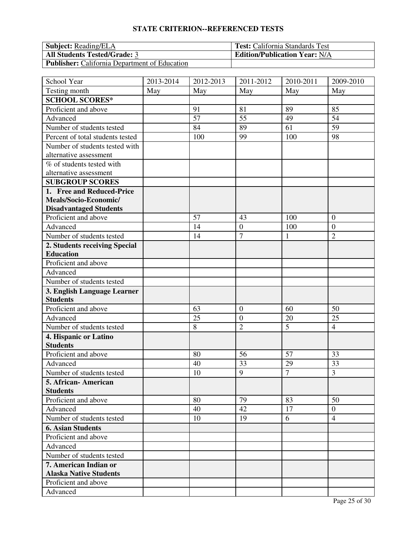| <b>Subject:</b> Reading/ELA                          | <b>Test:</b> California Standards Test |
|------------------------------------------------------|----------------------------------------|
| <b>All Students Tested/Grade: 3</b>                  | <b>Edition/Publication Year: N/A</b>   |
| <b>Publisher:</b> California Department of Education |                                        |

| School Year                      | 2013-2014 | $\overline{20}$ 12-2013 | 2011-2012        | $\overline{20}10 - 2011$ | 2009-2010        |
|----------------------------------|-----------|-------------------------|------------------|--------------------------|------------------|
| Testing month                    | May       | May                     | May              | May                      | May              |
| <b>SCHOOL SCORES*</b>            |           |                         |                  |                          |                  |
| Proficient and above             |           | 91                      | 81               | 89                       | 85               |
| Advanced                         |           | 57                      | 55               | 49                       | 54               |
| Number of students tested        |           | 84                      | 89               | 61                       | 59               |
| Percent of total students tested |           | 100                     | 99               | 100                      | 98               |
| Number of students tested with   |           |                         |                  |                          |                  |
| alternative assessment           |           |                         |                  |                          |                  |
| % of students tested with        |           |                         |                  |                          |                  |
| alternative assessment           |           |                         |                  |                          |                  |
| <b>SUBGROUP SCORES</b>           |           |                         |                  |                          |                  |
| 1. Free and Reduced-Price        |           |                         |                  |                          |                  |
| Meals/Socio-Economic/            |           |                         |                  |                          |                  |
| <b>Disadvantaged Students</b>    |           |                         |                  |                          |                  |
| Proficient and above             |           | 57                      | 43               | 100                      | $\overline{0}$   |
| Advanced                         |           | 14                      | $\overline{0}$   | 100                      | $\boldsymbol{0}$ |
| Number of students tested        |           | 14                      | $\overline{7}$   | 1                        | $\overline{2}$   |
| 2. Students receiving Special    |           |                         |                  |                          |                  |
| <b>Education</b>                 |           |                         |                  |                          |                  |
| Proficient and above             |           |                         |                  |                          |                  |
| Advanced                         |           |                         |                  |                          |                  |
| Number of students tested        |           |                         |                  |                          |                  |
| 3. English Language Learner      |           |                         |                  |                          |                  |
| <b>Students</b>                  |           |                         |                  |                          |                  |
| Proficient and above             |           | 63                      | $\mathbf{0}$     | 60                       | 50               |
| Advanced                         |           | 25                      | $\boldsymbol{0}$ | 20                       | 25               |
| Number of students tested        |           | 8                       | $\overline{2}$   | 5                        | $\overline{4}$   |
| 4. Hispanic or Latino            |           |                         |                  |                          |                  |
| <b>Students</b>                  |           |                         |                  |                          |                  |
| Proficient and above             |           | 80                      | 56               | 57                       | 33               |
| Advanced                         |           | 40                      | 33               | 29                       | 33               |
| Number of students tested        |           | 10                      | 9                | $\overline{7}$           | 3                |
| 5. African- American             |           |                         |                  |                          |                  |
| <b>Students</b>                  |           |                         |                  |                          |                  |
| Proficient and above             |           | 80                      | 79               | 83                       | 50               |
| Advanced                         |           | 40                      | 42               | 17                       | $\overline{0}$   |
| Number of students tested        |           | 10                      | 19               | 6                        | $\overline{4}$   |
| <b>6. Asian Students</b>         |           |                         |                  |                          |                  |
| Proficient and above             |           |                         |                  |                          |                  |
| Advanced                         |           |                         |                  |                          |                  |
| Number of students tested        |           |                         |                  |                          |                  |
| 7. American Indian or            |           |                         |                  |                          |                  |
| <b>Alaska Native Students</b>    |           |                         |                  |                          |                  |
| Proficient and above             |           |                         |                  |                          |                  |
| Advanced                         |           |                         |                  |                          |                  |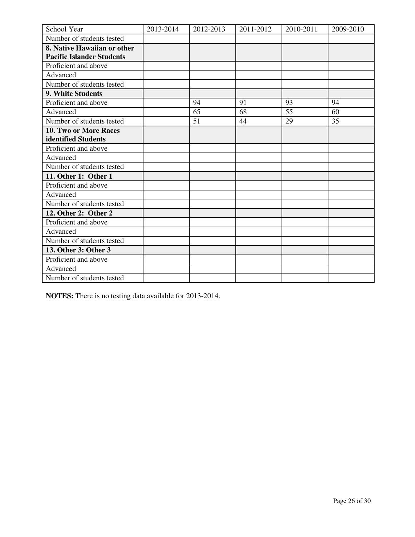| School Year                      | 2013-2014 | 2012-2013 | 2011-2012 | 2010-2011 | 2009-2010 |
|----------------------------------|-----------|-----------|-----------|-----------|-----------|
| Number of students tested        |           |           |           |           |           |
| 8. Native Hawaiian or other      |           |           |           |           |           |
| <b>Pacific Islander Students</b> |           |           |           |           |           |
| Proficient and above             |           |           |           |           |           |
| Advanced                         |           |           |           |           |           |
| Number of students tested        |           |           |           |           |           |
| 9. White Students                |           |           |           |           |           |
| Proficient and above             |           | 94        | 91        | 93        | 94        |
| Advanced                         |           | 65        | 68        | 55        | 60        |
| Number of students tested        |           | 51        | 44        | 29        | 35        |
| 10. Two or More Races            |           |           |           |           |           |
| identified Students              |           |           |           |           |           |
| Proficient and above             |           |           |           |           |           |
| Advanced                         |           |           |           |           |           |
| Number of students tested        |           |           |           |           |           |
| 11. Other 1: Other 1             |           |           |           |           |           |
| Proficient and above             |           |           |           |           |           |
| Advanced                         |           |           |           |           |           |
| Number of students tested        |           |           |           |           |           |
| 12. Other 2: Other 2             |           |           |           |           |           |
| Proficient and above             |           |           |           |           |           |
| Advanced                         |           |           |           |           |           |
| Number of students tested        |           |           |           |           |           |
| 13. Other 3: Other 3             |           |           |           |           |           |
| Proficient and above             |           |           |           |           |           |
| Advanced                         |           |           |           |           |           |
| Number of students tested        |           |           |           |           |           |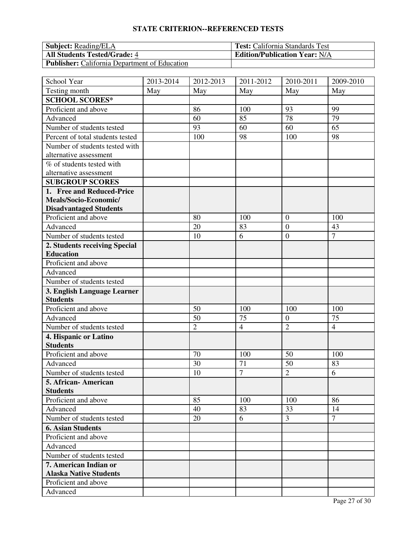| <b>Subject:</b> Reading/ELA                          | <b>Test:</b> California Standards Test |
|------------------------------------------------------|----------------------------------------|
| <b>All Students Tested/Grade: 4</b>                  | <b>Edition/Publication Year: N/A</b>   |
| <b>Publisher:</b> California Department of Education |                                        |

| School Year                      | 2013-2014 | 2012-2013      | 2011-2012      | 2010-2011        | 2009-2010      |
|----------------------------------|-----------|----------------|----------------|------------------|----------------|
| Testing month                    | May       | May            | May            | May              | May            |
| <b>SCHOOL SCORES*</b>            |           |                |                |                  |                |
| Proficient and above             |           | 86             | 100            | 93               | 99             |
| Advanced                         |           | 60             | 85             | 78               | 79             |
| Number of students tested        |           | 93             | 60             | 60               | 65             |
| Percent of total students tested |           | 100            | 98             | 100              | 98             |
| Number of students tested with   |           |                |                |                  |                |
| alternative assessment           |           |                |                |                  |                |
| % of students tested with        |           |                |                |                  |                |
| alternative assessment           |           |                |                |                  |                |
| <b>SUBGROUP SCORES</b>           |           |                |                |                  |                |
| 1. Free and Reduced-Price        |           |                |                |                  |                |
| Meals/Socio-Economic/            |           |                |                |                  |                |
| <b>Disadvantaged Students</b>    |           |                |                |                  |                |
| Proficient and above             |           | 80             | 100            | $\overline{0}$   | 100            |
| Advanced                         |           | 20             | 83             | $\overline{0}$   | 43             |
| Number of students tested        |           | 10             | 6              | $\overline{0}$   | $\overline{7}$ |
| 2. Students receiving Special    |           |                |                |                  |                |
| <b>Education</b>                 |           |                |                |                  |                |
| Proficient and above             |           |                |                |                  |                |
| Advanced                         |           |                |                |                  |                |
| Number of students tested        |           |                |                |                  |                |
| 3. English Language Learner      |           |                |                |                  |                |
| <b>Students</b>                  |           |                |                |                  |                |
| Proficient and above             |           | 50             | 100            | 100              | 100            |
| Advanced                         |           | 50             | 75             | $\boldsymbol{0}$ | 75             |
| Number of students tested        |           | $\overline{2}$ | $\overline{4}$ | $\overline{2}$   | $\overline{4}$ |
| 4. Hispanic or Latino            |           |                |                |                  |                |
| <b>Students</b>                  |           |                |                |                  |                |
| Proficient and above             |           | 70             | 100            | 50               | 100            |
| Advanced                         |           | 30             | 71             | 50               | 83             |
| Number of students tested        |           | 10             | $\overline{7}$ | $\overline{2}$   | 6              |
| 5. African-American              |           |                |                |                  |                |
| <b>Students</b>                  |           |                |                |                  |                |
| Proficient and above             |           | 85             | 100            | 100              | 86             |
| Advanced                         |           | 40             | 83             | 33               | 14             |
| Number of students tested        |           | 20             | 6              | $\overline{3}$   | $\overline{7}$ |
| <b>6. Asian Students</b>         |           |                |                |                  |                |
| Proficient and above             |           |                |                |                  |                |
| Advanced                         |           |                |                |                  |                |
| Number of students tested        |           |                |                |                  |                |
| 7. American Indian or            |           |                |                |                  |                |
| <b>Alaska Native Students</b>    |           |                |                |                  |                |
| Proficient and above             |           |                |                |                  |                |
| Advanced                         |           |                |                |                  |                |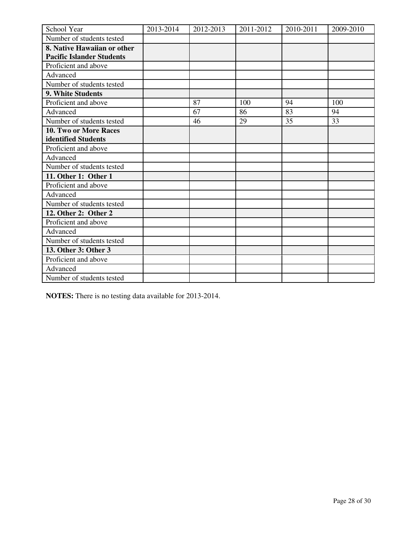| School Year                      | 2013-2014 | 2012-2013 | 2011-2012 | 2010-2011 | 2009-2010 |
|----------------------------------|-----------|-----------|-----------|-----------|-----------|
| Number of students tested        |           |           |           |           |           |
| 8. Native Hawaiian or other      |           |           |           |           |           |
| <b>Pacific Islander Students</b> |           |           |           |           |           |
| Proficient and above             |           |           |           |           |           |
| Advanced                         |           |           |           |           |           |
| Number of students tested        |           |           |           |           |           |
| 9. White Students                |           |           |           |           |           |
| Proficient and above             |           | 87        | 100       | 94        | 100       |
| Advanced                         |           | 67        | 86        | 83        | 94        |
| Number of students tested        |           | 46        | 29        | 35        | 33        |
| <b>10. Two or More Races</b>     |           |           |           |           |           |
| identified Students              |           |           |           |           |           |
| Proficient and above             |           |           |           |           |           |
| Advanced                         |           |           |           |           |           |
| Number of students tested        |           |           |           |           |           |
| 11. Other 1: Other 1             |           |           |           |           |           |
| Proficient and above             |           |           |           |           |           |
| Advanced                         |           |           |           |           |           |
| Number of students tested        |           |           |           |           |           |
| 12. Other 2: Other 2             |           |           |           |           |           |
| Proficient and above             |           |           |           |           |           |
| Advanced                         |           |           |           |           |           |
| Number of students tested        |           |           |           |           |           |
| 13. Other 3: Other 3             |           |           |           |           |           |
| Proficient and above             |           |           |           |           |           |
| Advanced                         |           |           |           |           |           |
| Number of students tested        |           |           |           |           |           |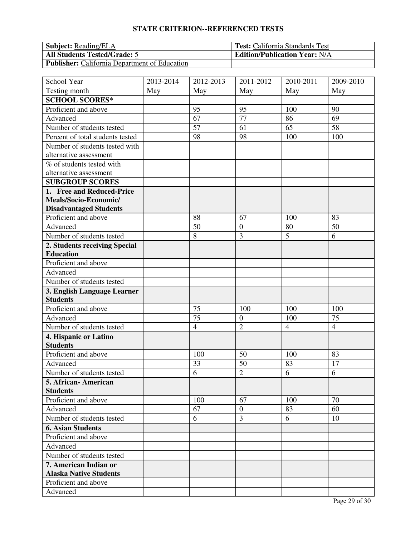| <b>Subject:</b> Reading/ELA                          | <b>Test:</b> California Standards Test |
|------------------------------------------------------|----------------------------------------|
| <b>All Students Tested/Grade: 5</b>                  | <b>Edition/Publication Year: N/A</b>   |
| <b>Publisher:</b> California Department of Education |                                        |

| School Year                      | 2013-2014 | 2012-2013      | 2011-2012        | 2010-2011      | 2009-2010      |
|----------------------------------|-----------|----------------|------------------|----------------|----------------|
| Testing month                    | May       | May            | May              | May            | May            |
| <b>SCHOOL SCORES*</b>            |           |                |                  |                |                |
| Proficient and above             |           | 95             | 95               | 100            | 90             |
| Advanced                         |           | 67             | 77               | 86             | 69             |
| Number of students tested        |           | 57             | 61               | 65             | 58             |
| Percent of total students tested |           | 98             | 98               | 100            | 100            |
| Number of students tested with   |           |                |                  |                |                |
| alternative assessment           |           |                |                  |                |                |
| % of students tested with        |           |                |                  |                |                |
| alternative assessment           |           |                |                  |                |                |
| <b>SUBGROUP SCORES</b>           |           |                |                  |                |                |
| 1. Free and Reduced-Price        |           |                |                  |                |                |
| Meals/Socio-Economic/            |           |                |                  |                |                |
| <b>Disadvantaged Students</b>    |           |                |                  |                |                |
| Proficient and above             |           | 88             | 67               | 100            | 83             |
| Advanced                         |           | 50             | $\boldsymbol{0}$ | 80             | 50             |
| Number of students tested        |           | 8              | 3                | 5              | 6              |
| 2. Students receiving Special    |           |                |                  |                |                |
| <b>Education</b>                 |           |                |                  |                |                |
| Proficient and above             |           |                |                  |                |                |
| Advanced                         |           |                |                  |                |                |
| Number of students tested        |           |                |                  |                |                |
| 3. English Language Learner      |           |                |                  |                |                |
| <b>Students</b>                  |           |                |                  |                |                |
| Proficient and above             |           | 75             | 100              | 100            | 100            |
| Advanced                         |           | 75             | $\boldsymbol{0}$ | 100            | 75             |
| Number of students tested        |           | $\overline{4}$ | $\overline{2}$   | $\overline{4}$ | $\overline{4}$ |
| 4. Hispanic or Latino            |           |                |                  |                |                |
| <b>Students</b>                  |           |                |                  |                |                |
| Proficient and above             |           | 100            | 50               | 100            | 83             |
| Advanced                         |           | 33             | 50               | 83             | 17             |
| Number of students tested        |           | 6              | $\overline{2}$   | 6              | 6              |
| 5. African-American              |           |                |                  |                |                |
| <b>Students</b>                  |           |                |                  |                |                |
| Proficient and above             |           | 100            | 67               | 100            | 70             |
| Advanced                         |           | 67             | $\overline{0}$   | 83             | 60             |
| Number of students tested        |           | 6              | 3                | 6              | 10             |
| <b>6. Asian Students</b>         |           |                |                  |                |                |
| Proficient and above             |           |                |                  |                |                |
| Advanced                         |           |                |                  |                |                |
| Number of students tested        |           |                |                  |                |                |
| 7. American Indian or            |           |                |                  |                |                |
| <b>Alaska Native Students</b>    |           |                |                  |                |                |
| Proficient and above             |           |                |                  |                |                |
| Advanced                         |           |                |                  |                |                |